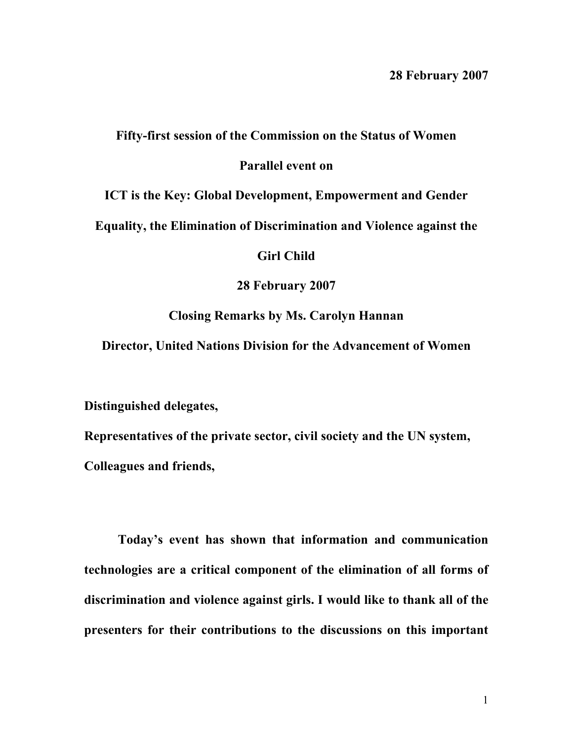## **Fifty-first session of the Commission on the Status of Women**

## **Parallel event on**

**ICT is the Key: Global Development, Empowerment and Gender** 

**Equality, the Elimination of Discrimination and Violence against the** 

**Girl Child** 

**28 February 2007** 

**Closing Remarks by Ms. Carolyn Hannan** 

**Director, United Nations Division for the Advancement of Women** 

**Distinguished delegates,** 

**Representatives of the private sector, civil society and the UN system, Colleagues and friends,** 

**Today's event has shown that information and communication technologies are a critical component of the elimination of all forms of discrimination and violence against girls. I would like to thank all of the presenters for their contributions to the discussions on this important**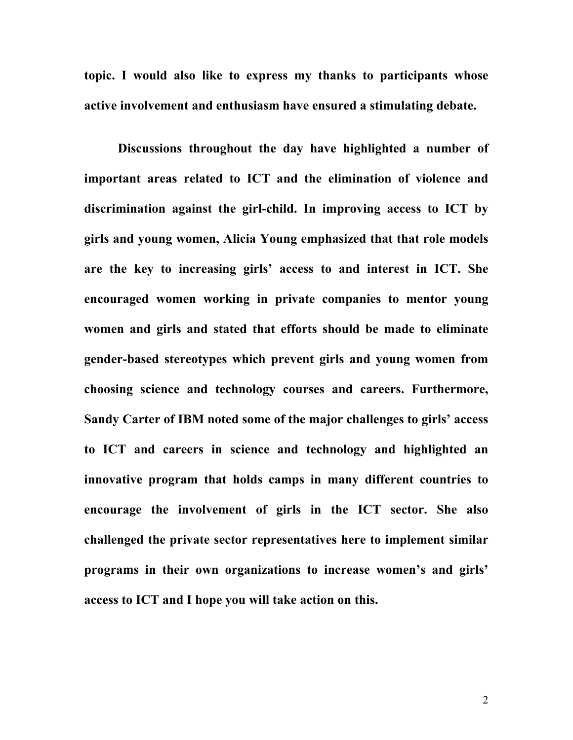**topic. I would also like to express my thanks to participants whose active involvement and enthusiasm have ensured a stimulating debate.** 

**Discussions throughout the day have highlighted a number of important areas related to ICT and the elimination of violence and discrimination against the girl-child. In improving access to ICT by girls and young women, Alicia Young emphasized that that role models are the key to increasing girls' access to and interest in ICT. She encouraged women working in private companies to mentor young women and girls and stated that efforts should be made to eliminate gender-based stereotypes which prevent girls and young women from choosing science and technology courses and careers. Furthermore, Sandy Carter of IBM noted some of the major challenges to girls' access to ICT and careers in science and technology and highlighted an innovative program that holds camps in many different countries to encourage the involvement of girls in the ICT sector. She also challenged the private sector representatives here to implement similar programs in their own organizations to increase women's and girls' access to ICT and I hope you will take action on this.**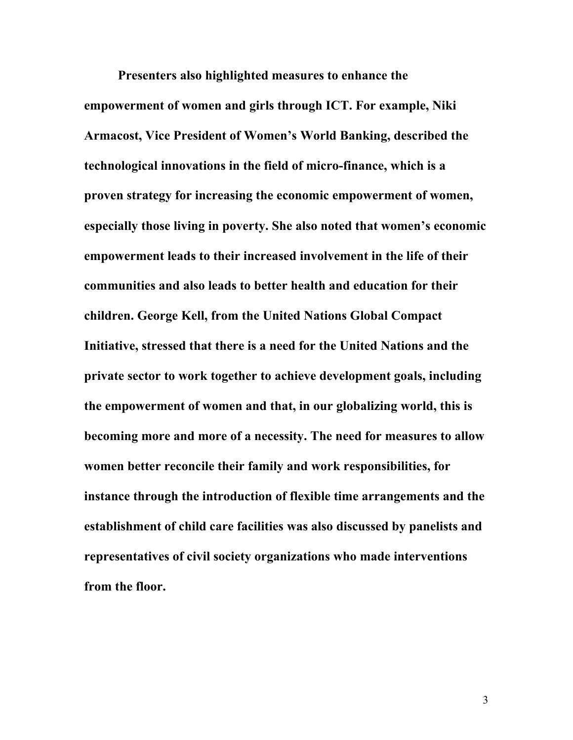**Presenters also highlighted measures to enhance the empowerment of women and girls through ICT. For example, Niki Armacost, Vice President of Women's World Banking, described the technological innovations in the field of micro-finance, which is a proven strategy for increasing the economic empowerment of women, especially those living in poverty. She also noted that women's economic empowerment leads to their increased involvement in the life of their communities and also leads to better health and education for their children. George Kell, from the United Nations Global Compact Initiative, stressed that there is a need for the United Nations and the private sector to work together to achieve development goals, including the empowerment of women and that, in our globalizing world, this is becoming more and more of a necessity. The need for measures to allow women better reconcile their family and work responsibilities, for instance through the introduction of flexible time arrangements and the establishment of child care facilities was also discussed by panelists and representatives of civil society organizations who made interventions from the floor.**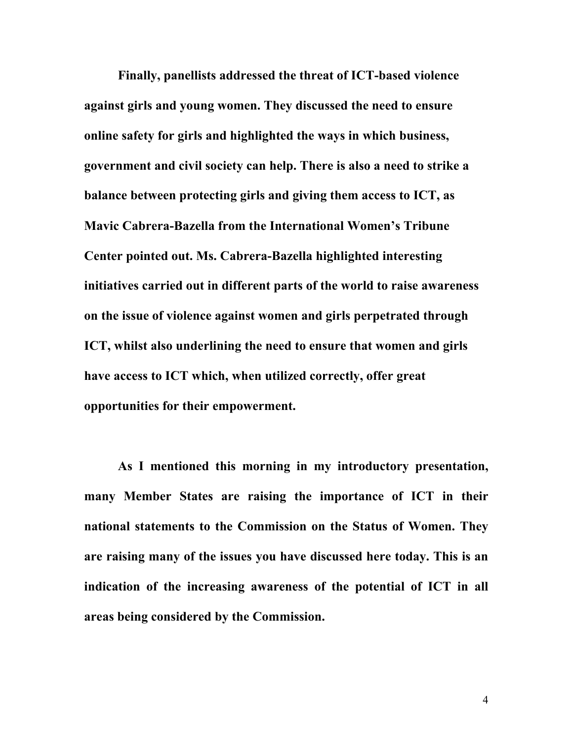**Finally, panellists addressed the threat of ICT-based violence against girls and young women. They discussed the need to ensure online safety for girls and highlighted the ways in which business, government and civil society can help. There is also a need to strike a balance between protecting girls and giving them access to ICT, as Mavic Cabrera-Bazella from the International Women's Tribune Center pointed out. Ms. Cabrera-Bazella highlighted interesting initiatives carried out in different parts of the world to raise awareness on the issue of violence against women and girls perpetrated through ICT, whilst also underlining the need to ensure that women and girls have access to ICT which, when utilized correctly, offer great opportunities for their empowerment.** 

**As I mentioned this morning in my introductory presentation, many Member States are raising the importance of ICT in their national statements to the Commission on the Status of Women. They are raising many of the issues you have discussed here today. This is an indication of the increasing awareness of the potential of ICT in all areas being considered by the Commission.**